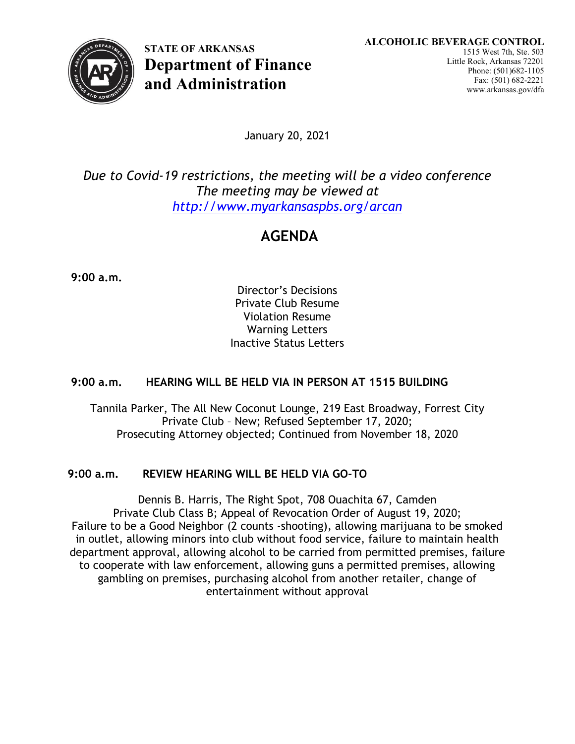

**STATE OF ARKANSAS Department of Finance and Administration**

January 20, 2021

*Due to Covid-19 restrictions, the meeting will be a video conference The meeting may be viewed at <http://www.myarkansaspbs.org/arcan>*

# **AGENDA**

**9:00 a.m.**

Director's Decisions Private Club Resume Violation Resume Warning Letters Inactive Status Letters

## **9:00 a.m. HEARING WILL BE HELD VIA IN PERSON AT 1515 BUILDING**

Tannila Parker, The All New Coconut Lounge, 219 East Broadway, Forrest City Private Club – New; Refused September 17, 2020; Prosecuting Attorney objected; Continued from November 18, 2020

## **9:00 a.m. REVIEW HEARING WILL BE HELD VIA GO-TO**

Dennis B. Harris, The Right Spot, 708 Ouachita 67, Camden Private Club Class B; Appeal of Revocation Order of August 19, 2020; Failure to be a Good Neighbor (2 counts -shooting), allowing marijuana to be smoked in outlet, allowing minors into club without food service, failure to maintain health department approval, allowing alcohol to be carried from permitted premises, failure to cooperate with law enforcement, allowing guns a permitted premises, allowing gambling on premises, purchasing alcohol from another retailer, change of entertainment without approval